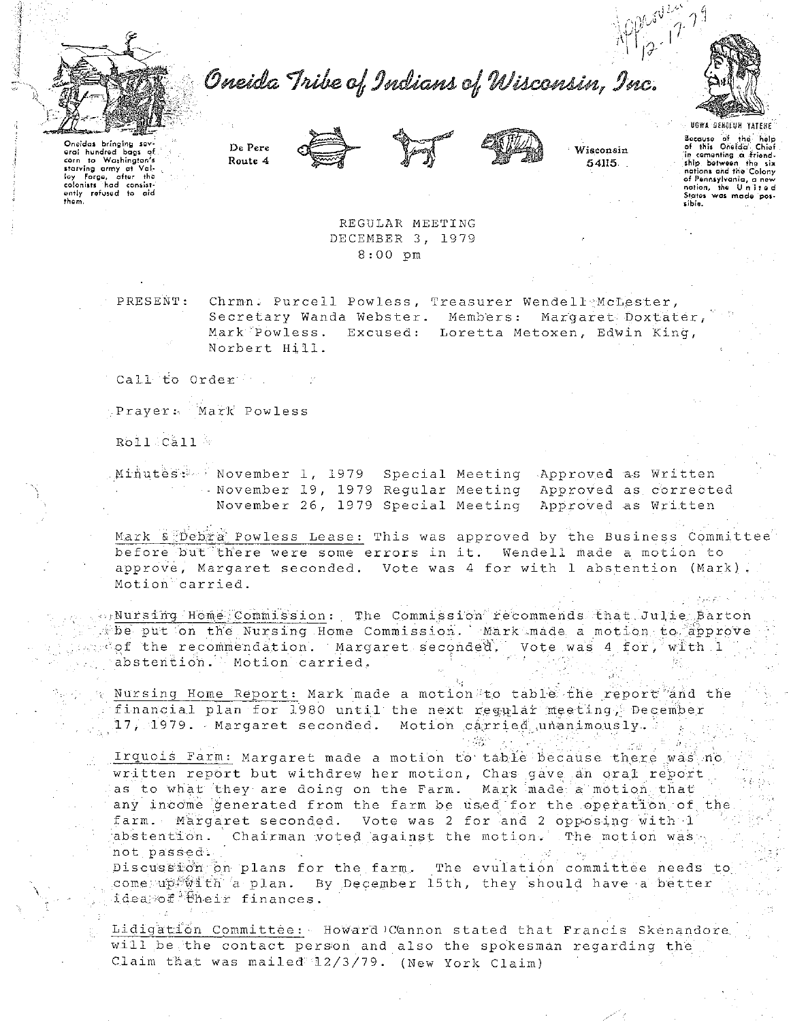

Oneida Tribe of Indians of Wisconsin, Inc.



UGWA DENOLUN YATENE Bocause of the holp<br>of this Oneida Chief in comenting a friend-<br>ship between the six<br>nations and the Colony of Pennsylvania, a new<br>nation, the United<br>States was made pos-

Wisconsin

54115.

Oneidas bringing sev eral hundred bacs of erai hundrad bags of<br>corn to Washington's<br>starving army et Val-<br>loy Farge, after the<br>colonists had consist-<br>enly refused to aid<br>them.

> REGULAR MEETING DECEMBER 3, 1979  $8:00$  pm

PRESENT: Chrmn. Purcell Powless, Treasurer Wendell McLester, Secretary Wanda Webster. Members: Margaret Doxtater, Mark Powless. Excused: Loretta Metoxen, Edwin King, Norbert Hill.

Call to Order

De Pere

Route 4

Prayer: Mark Powless

Roll Call

Minutes: November 1, 1979 Special Meeting Approved as Written - November 19, 1979 Reqular Meeting Approved as corrected November 26, 1979 Special Meeting Approved as Written

Mark a Debra Powless Lease: This was approved by the Business Committee before but there were some errors in it. Wendell made a motion to approve, Margaret seconded. Vote was 4 for with 1 abstention (Mark). Motion carried.

prNursing Home Commission: The Commission recommends that Julie Barton the put on the Nursing Home Commission. Mark made a motion to approve secof the recommendation. Margaret seconded, Vote was 4 for, with 1 abstention. Motion carried.

Nursing Home Report: Mark made a motion to table the report and the financial plan for 1980 until the next regular meeting, December  $17$ , 1979. Aargaret seconded. Motion carried unanimously.

Irquois Farm: Margaret made a motion to table because there was no written report but withdrew her motion, Chas gave an oral report as to what they are doing on the Farm. Mark made a motion that any income generated from the farm be used for the operation of the farm. Margaret seconded. Vote was 2 for and 2 opposing with 1 abstention. Chairman voted against the motion. The motion was not passed.

Discussion on plans for the farm. The evulation committee needs to come upfwith a plan. By December 15th, they should have a better ideapof Bheir finances.

Lidigation Committee: Howard Cannon stated that Francis Skenandore will be the contact person and also the spokesman regarding the Claim that was mailed 12/3/79. (New York Claim)